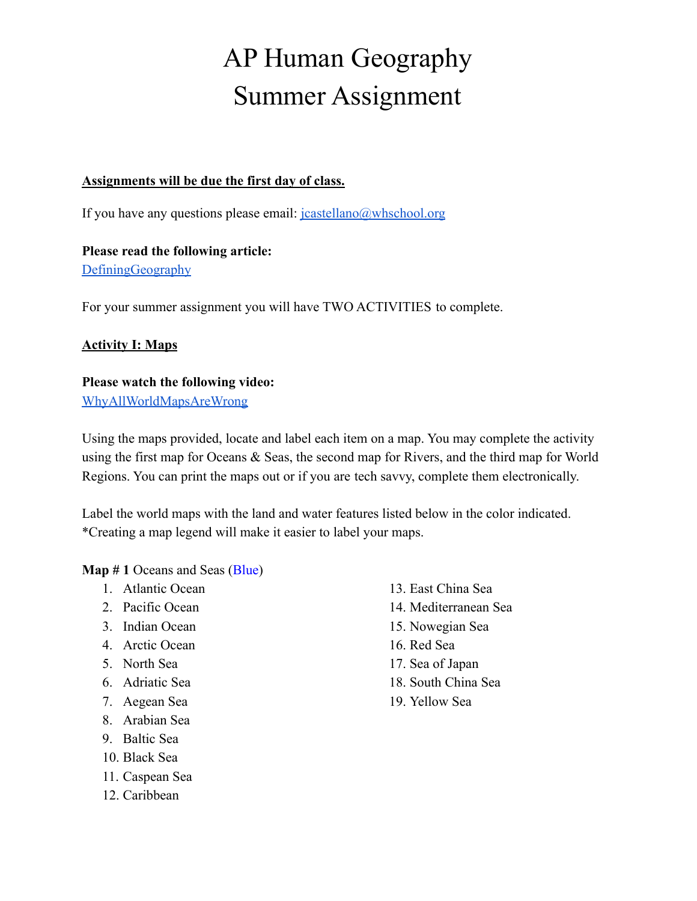# AP Human Geography Summer Assignment

### **Assignments will be due the first day of class.**

If you have any questions please email:  $i$ castellano@whschool.org

# **Please read the following article:**

[DefiningGeography](https://drive.google.com/file/d/1J6J_hw6eSIxaL2RRW5FDrBUHHUdCN-SU/view?usp=sharing)

For your summer assignment you will have TWO ACTIVITIES to complete.

#### **Activity I: Maps**

#### **Please watch the following video:**

[WhyAllWorldMapsAreWrong](https://www.youtube.com/watch?v=kIID5FDi2JQ&t=4s)

Using the maps provided, locate and label each item on a map. You may complete the activity using the first map for Oceans & Seas, the second map for Rivers, and the third map for World Regions. You can print the maps out or if you are tech savvy, complete them electronically.

Label the world maps with the land and water features listed below in the color indicated. \*Creating a map legend will make it easier to label your maps.

#### **Map # 1** Oceans and Seas (Blue)

- 1. Atlantic Ocean
- 2. Pacific Ocean
- 3. Indian Ocean
- 4. Arctic Ocean
- 5. North Sea
- 6. Adriatic Sea
- 7. Aegean Sea
- 8. Arabian Sea
- 9. Baltic Sea
- 10. Black Sea
- 11. Caspean Sea
- 12. Caribbean
- 13. East China Sea
- 14. Mediterranean Sea
- 15. Nowegian Sea
- 16. Red Sea
- 17. Sea of Japan
- 18. South China Sea
- 19. Yellow Sea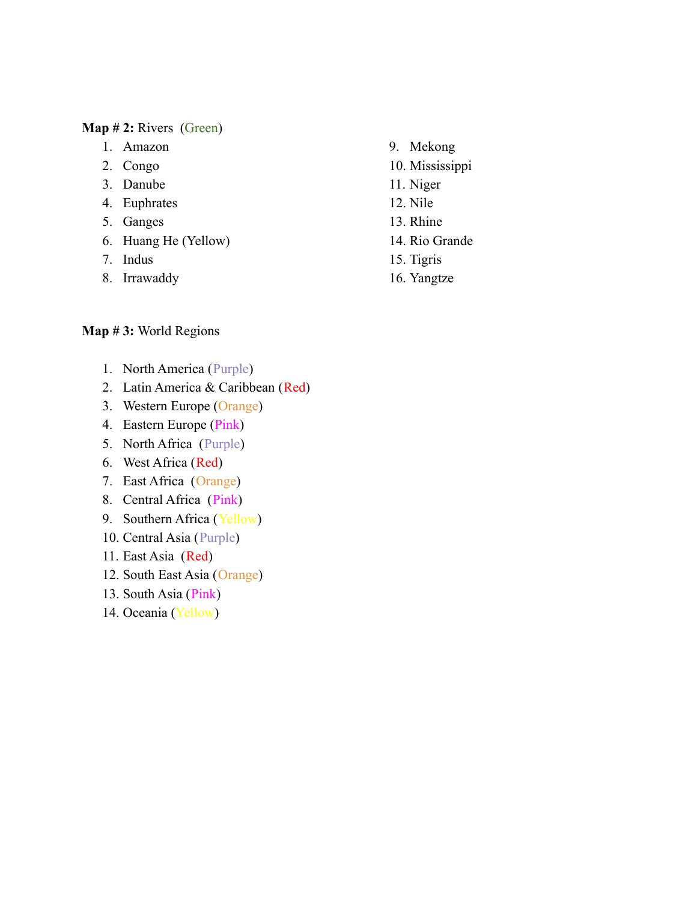#### **Map # 2:** Rivers (Green)

- 1. Amazon
- 2. Congo
- 3. Danube
- 4. Euphrates
- 5. Ganges
- 6. Huang He (Yellow)
- 7. Indus
- 8. Irrawaddy

#### **Map # 3:** World Regions

- 1. North America (Purple)
- 2. Latin America & Caribbean (Red)
- 3. Western Europe (Orange)
- 4. Eastern Europe (Pink)
- 5. North Africa (Purple)
- 6. West Africa (Red)
- 7. East Africa (Orange)
- 8. Central Africa (Pink)
- 9. Southern Africa (Yellow)
- 10. Central Asia (Purple)
- 11. East Asia (Red)
- 12. South East Asia (Orange)
- 13. South Asia (Pink)
- 14. Oceania (Yellow)
- 9. Mekong
- 10. Mississippi
- 11. Niger
- 12. Nile
- 13. Rhine
- 14. Rio Grande
- 15. Tigris
- 16. Yangtze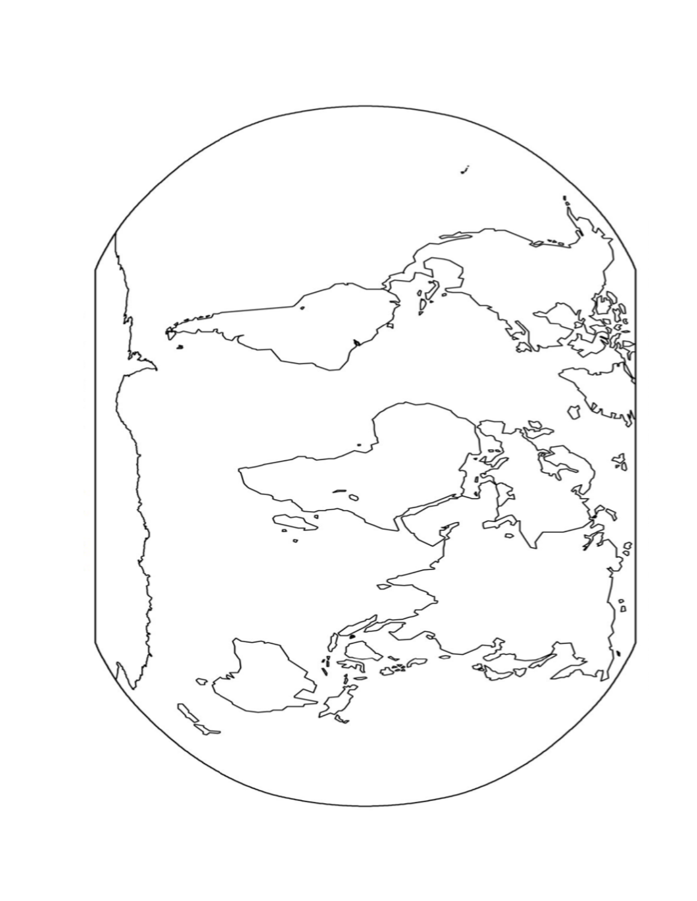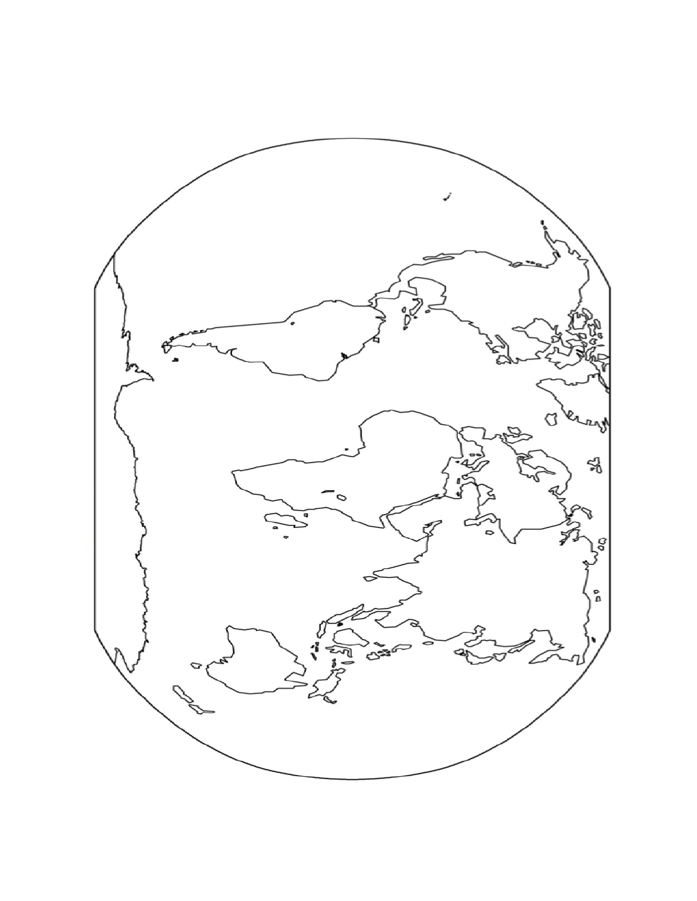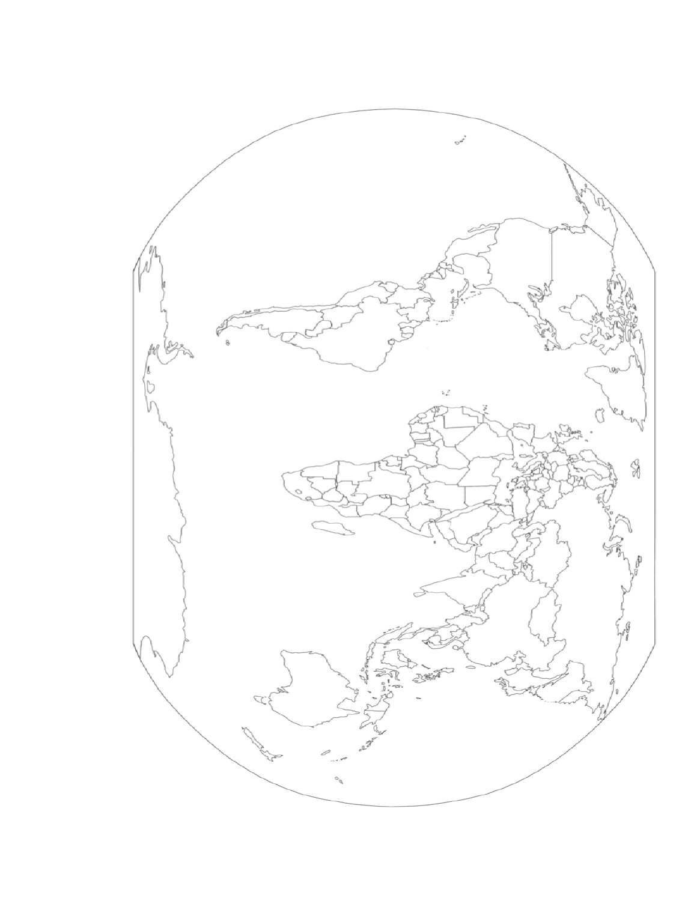